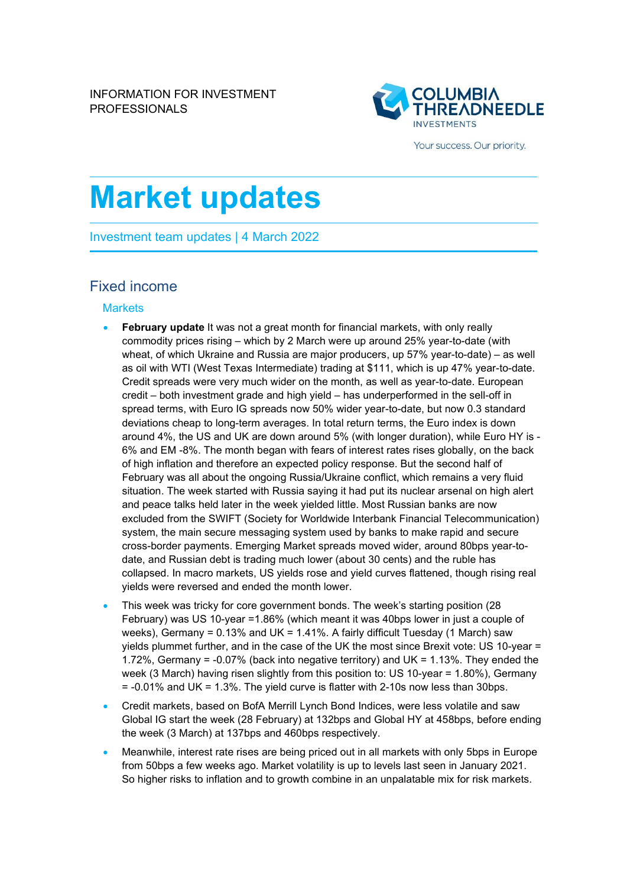

Your success. Our priority.

# **Market updates**

Investment team updates | 4 March 2022

## Fixed income

#### **Markets**

- **February update** It was not a great month for financial markets, with only really commodity prices rising – which by 2 March were up around 25% year-to-date (with wheat, of which Ukraine and Russia are major producers, up 57% year-to-date) – as well as oil with WTI (West Texas Intermediate) trading at \$111, which is up 47% year-to-date. Credit spreads were very much wider on the month, as well as year-to-date. European credit – both investment grade and high yield – has underperformed in the sell-off in spread terms, with Euro IG spreads now 50% wider year-to-date, but now 0.3 standard deviations cheap to long-term averages. In total return terms, the Euro index is down around 4%, the US and UK are down around 5% (with longer duration), while Euro HY is - 6% and EM -8%. The month began with fears of interest rates rises globally, on the back of high inflation and therefore an expected policy response. But the second half of February was all about the ongoing Russia/Ukraine conflict, which remains a very fluid situation. The week started with Russia saying it had put its nuclear arsenal on high alert and peace talks held later in the week yielded little. Most Russian banks are now excluded from the SWIFT (Society for Worldwide Interbank Financial Telecommunication) system, the main secure messaging system used by banks to make rapid and secure cross-border payments. Emerging Market spreads moved wider, around 80bps year-todate, and Russian debt is trading much lower (about 30 cents) and the ruble has collapsed. In macro markets, US yields rose and yield curves flattened, though rising real yields were reversed and ended the month lower.
- This week was tricky for core government bonds. The week's starting position (28 February) was US 10-year =1.86% (which meant it was 40bps lower in just a couple of weeks), Germany = 0.13% and UK = 1.41%. A fairly difficult Tuesday (1 March) saw yields plummet further, and in the case of the UK the most since Brexit vote: US 10-year = 1.72%, Germany = -0.07% (back into negative territory) and UK = 1.13%. They ended the week (3 March) having risen slightly from this position to: US 10-year = 1.80%), Germany  $= -0.01\%$  and UK = 1.3%. The yield curve is flatter with 2-10s now less than 30bps.
- Credit markets, based on BofA Merrill Lynch Bond Indices, were less volatile and saw Global IG start the week (28 February) at 132bps and Global HY at 458bps, before ending the week (3 March) at 137bps and 460bps respectively.
- Meanwhile, interest rate rises are being priced out in all markets with only 5bps in Europe from 50bps a few weeks ago. Market volatility is up to levels last seen in January 2021. So higher risks to inflation and to growth combine in an unpalatable mix for risk markets.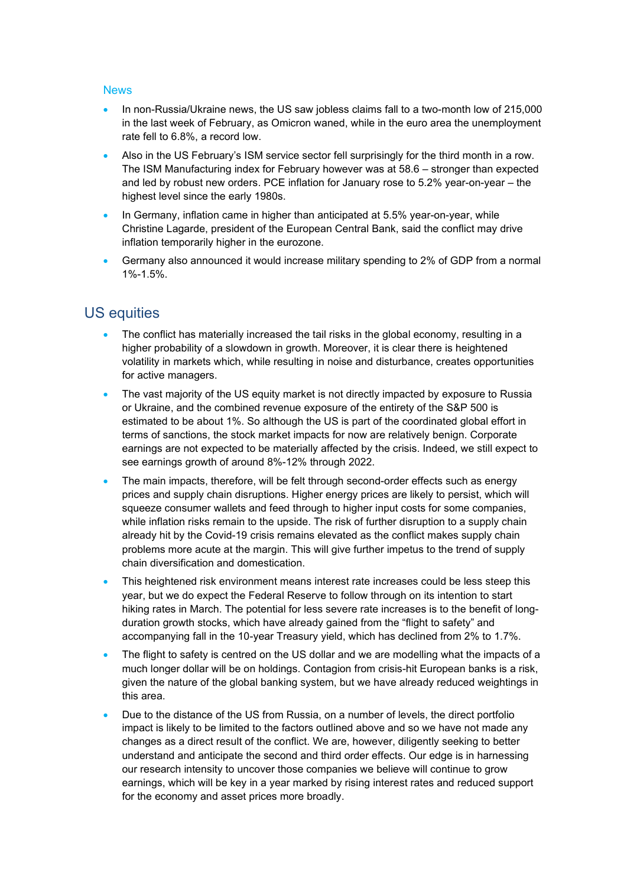#### News

- In non-Russia/Ukraine news, the US saw jobless claims fall to a two-month low of 215,000 in the last week of February, as Omicron waned, while in the euro area the unemployment rate fell to 6.8%, a record low.
- Also in the US February's ISM service sector fell surprisingly for the third month in a row. The ISM Manufacturing index for February however was at 58.6 – stronger than expected and led by robust new orders. PCE inflation for January rose to 5.2% year-on-year – the highest level since the early 1980s.
- In Germany, inflation came in higher than anticipated at 5.5% year-on-year, while Christine Lagarde, president of the European Central Bank, said the conflict may drive inflation temporarily higher in the eurozone.
- Germany also announced it would increase military spending to 2% of GDP from a normal 1%-1.5%.

### US equities

- The conflict has materially increased the tail risks in the global economy, resulting in a higher probability of a slowdown in growth. Moreover, it is clear there is heightened volatility in markets which, while resulting in noise and disturbance, creates opportunities for active managers.
- The vast majority of the US equity market is not directly impacted by exposure to Russia or Ukraine, and the combined revenue exposure of the entirety of the S&P 500 is estimated to be about 1%. So although the US is part of the coordinated global effort in terms of sanctions, the stock market impacts for now are relatively benign. Corporate earnings are not expected to be materially affected by the crisis. Indeed, we still expect to see earnings growth of around 8%-12% through 2022.
- The main impacts, therefore, will be felt through second-order effects such as energy prices and supply chain disruptions. Higher energy prices are likely to persist, which will squeeze consumer wallets and feed through to higher input costs for some companies, while inflation risks remain to the upside. The risk of further disruption to a supply chain already hit by the Covid-19 crisis remains elevated as the conflict makes supply chain problems more acute at the margin. This will give further impetus to the trend of supply chain diversification and domestication.
- This heightened risk environment means interest rate increases could be less steep this year, but we do expect the Federal Reserve to follow through on its intention to start hiking rates in March. The potential for less severe rate increases is to the benefit of longduration growth stocks, which have already gained from the "flight to safety" and accompanying fall in the 10-year Treasury yield, which has declined from 2% to 1.7%.
- The flight to safety is centred on the US dollar and we are modelling what the impacts of a much longer dollar will be on holdings. Contagion from crisis-hit European banks is a risk, given the nature of the global banking system, but we have already reduced weightings in this area.
- Due to the distance of the US from Russia, on a number of levels, the direct portfolio impact is likely to be limited to the factors outlined above and so we have not made any changes as a direct result of the conflict. We are, however, diligently seeking to better understand and anticipate the second and third order effects. Our edge is in harnessing our research intensity to uncover those companies we believe will continue to grow earnings, which will be key in a year marked by rising interest rates and reduced support for the economy and asset prices more broadly.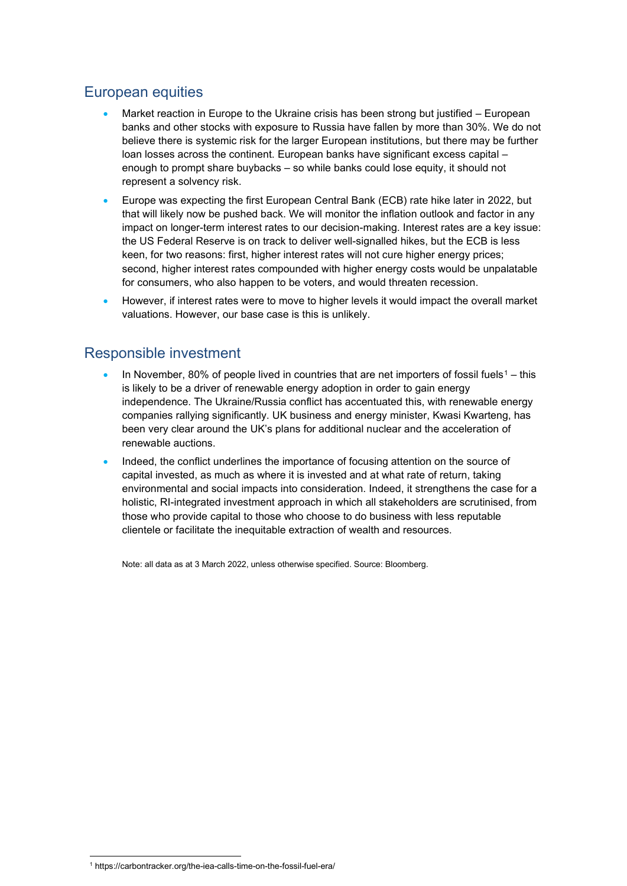# European equities

- Market reaction in Europe to the Ukraine crisis has been strong but justified European banks and other stocks with exposure to Russia have fallen by more than 30%. We do not believe there is systemic risk for the larger European institutions, but there may be further loan losses across the continent. European banks have significant excess capital – enough to prompt share buybacks – so while banks could lose equity, it should not represent a solvency risk.
- Europe was expecting the first European Central Bank (ECB) rate hike later in 2022, but that will likely now be pushed back. We will monitor the inflation outlook and factor in any impact on longer-term interest rates to our decision-making. Interest rates are a key issue: the US Federal Reserve is on track to deliver well-signalled hikes, but the ECB is less keen, for two reasons: first, higher interest rates will not cure higher energy prices; second, higher interest rates compounded with higher energy costs would be unpalatable for consumers, who also happen to be voters, and would threaten recession.
- However, if interest rates were to move to higher levels it would impact the overall market valuations. However, our base case is this is unlikely.

# Responsible investment

- In November, 80% of people lived in countries that are net importers of fossil fuels<sup>[1](#page-2-0)</sup> this is likely to be a driver of renewable energy adoption in order to gain energy independence. The Ukraine/Russia conflict has accentuated this, with renewable energy companies rallying significantly. UK business and energy minister, Kwasi Kwarteng, has been very clear around the UK's plans for additional nuclear and the acceleration of renewable auctions.
- Indeed, the conflict underlines the importance of focusing attention on the source of capital invested, as much as where it is invested and at what rate of return, taking environmental and social impacts into consideration. Indeed, it strengthens the case for a holistic, RI-integrated investment approach in which all stakeholders are scrutinised, from those who provide capital to those who choose to do business with less reputable clientele or facilitate the inequitable extraction of wealth and resources.

Note: all data as at 3 March 2022, unless otherwise specified. Source: Bloomberg.

<span id="page-2-0"></span><sup>1</sup> https://carbontracker.org/the-iea-calls-time-on-the-fossil-fuel-era/